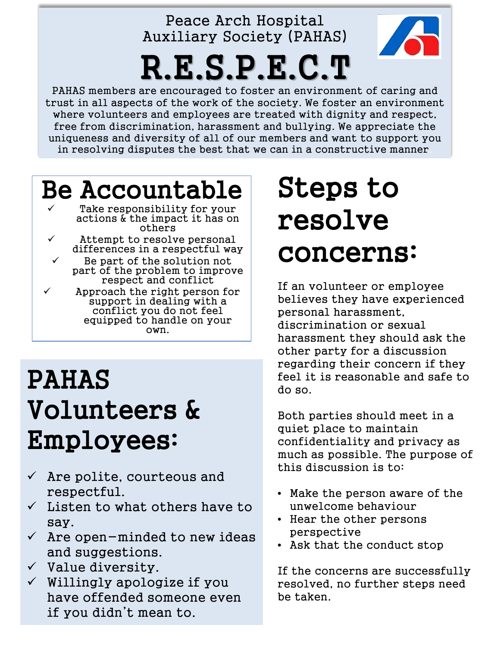#### Peace Arch Hospital Auxiliary Society (PAHAS)

# R.E.S.P.E.C.T

PAHAS members are encouraged to foster an environment of caring and trust in all aspects of the work of the society. We foster an environment where volunteers and employees are treated with dignity and respect, free from discrimination, harassment and bullying. We appreciate the uniqueness and diversity of all of our members and want to support you in resolving disputes the best that we can in a constructive manner.

#### Be Accountable Take responsibility for your

- actions & the impact it has on others
	- Attempt to resolve personal differences in a respectful way

 Be part of the solution not part of the problem to improve respect and conflict

 Approach the right person for support in dealing with a conflict you do not feel equipped to handle on your own.

### PAHAS Volunteers & Employees:

- $\checkmark$  Are polite, courteous and respectful.
- $\checkmark$  Listen to what others have to say.
- $\checkmark$  Are open-minded to new ideas and suggestions.
- $\checkmark$  Value diversity.
- $\checkmark$  Willingly apologize if you have offended someone even if you didn't mean to.

## Steps to resolve concerns:

If an volunteer or employee believes they have experienced personal harassment, discrimination or sexual harassment they should ask the other party for a discussion regarding their concern if they feel it is reasonable and safe to do so.

Both parties should meet in a quiet place to maintain confidentiality and privacy as much as possible. The purpose of this discussion is to:

- Make the person aware of the unwelcome behaviour
- Hear the other persons perspective
- Ask that the conduct stop

If the concerns are successfully resolved, no further steps need be taken.